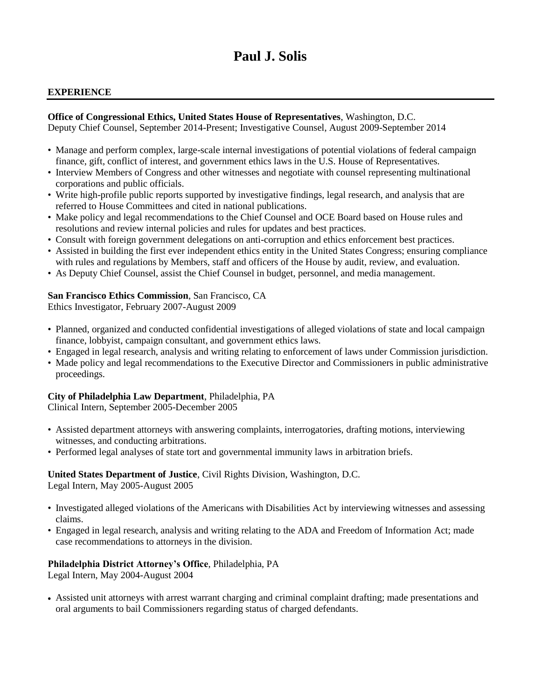# **Paul J. Solis**

#### **EXPERIENCE**

# **Office of Congressional Ethics, United States House of Representatives**, Washington, D.C.

Deputy Chief Counsel, September 2014-Present; Investigative Counsel, August 2009-September 2014

- Manage and perform complex, large-scale internal investigations of potential violations of federal campaign finance, gift, conflict of interest, and government ethics laws in the U.S. House of Representatives.
- Interview Members of Congress and other witnesses and negotiate with counsel representing multinational corporations and public officials.
- Write high-profile public reports supported by investigative findings, legal research, and analysis that are referred to House Committees and cited in national publications.
- Make policy and legal recommendations to the Chief Counsel and OCE Board based on House rules and resolutions and review internal policies and rules for updates and best practices.
- Consult with foreign government delegations on anti-corruption and ethics enforcement best practices.
- Assisted in building the first ever independent ethics entity in the United States Congress; ensuring compliance with rules and regulations by Members, staff and officers of the House by audit, review, and evaluation.
- As Deputy Chief Counsel, assist the Chief Counsel in budget, personnel, and media management.

#### **San Francisco Ethics Commission**, San Francisco, CA

Ethics Investigator, February 2007-August 2009

- Planned, organized and conducted confidential investigations of alleged violations of state and local campaign finance, lobbyist, campaign consultant, and government ethics laws.
- Engaged in legal research, analysis and writing relating to enforcement of laws under Commission jurisdiction.
- Made policy and legal recommendations to the Executive Director and Commissioners in public administrative proceedings.

# **City of Philadelphia Law Department**, Philadelphia, PA

Clinical Intern, September 2005-December 2005

- Assisted department attorneys with answering complaints, interrogatories, drafting motions, interviewing witnesses, and conducting arbitrations.
- Performed legal analyses of state tort and governmental immunity laws in arbitration briefs.

#### **United States Department of Justice**, Civil Rights Division, Washington, D.C.

Legal Intern, May 2005-August 2005

- Investigated alleged violations of the Americans with Disabilities Act by interviewing witnesses and assessing claims.
- Engaged in legal research, analysis and writing relating to the ADA and Freedom of Information Act; made case recommendations to attorneys in the division.

## **Philadelphia District Attorney's Office**, Philadelphia, PA

Legal Intern, May 2004-August 2004

• Assisted unit attorneys with arrest warrant charging and criminal complaint drafting; made presentations and oral arguments to bail Commissioners regarding status of charged defendants.